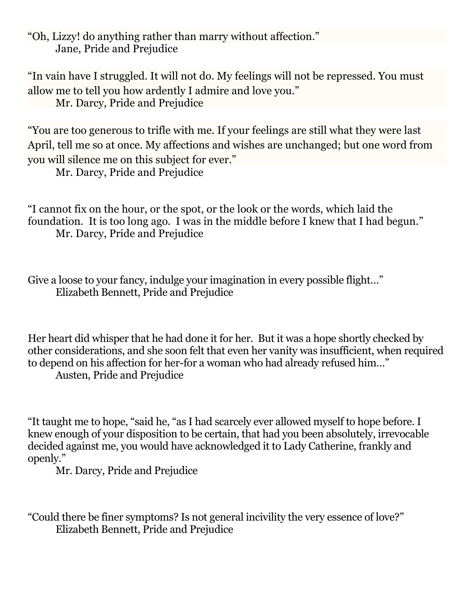"Oh, Lizzy! do anything rather than marry without affection." Jane, Pride and Prejudice

"In vain have I struggled. It will not do. My feelings will not be repressed. You must allow me to tell you how ardently I admire and love you." Mr. Darcy, Pride and Prejudice

"You are too generous to trifle with me. If your feelings are still what they were last April, tell me so at once. My affections and wishes are unchanged; but one word from you will silence me on this subject for ever."

Mr. Darcy, Pride and Prejudice

"I cannot fix on the hour, or the spot, or the look or the words, which laid the foundation. It is too long ago. I was in the middle before I knew that I had begun." Mr. Darcy, [Pride and Prejudice](https://www.amazon.com/gp/product/1548568708?ie=UTF8&tag=bustlebooks-20&camp=1789&linkCode=xm2&creativeASIN=1548568708)

Give a loose to your fancy, indulge your imagination in every possible flight..." Elizabeth Bennett, Pride and Prejudice

Her heart did whisper that he had done it for her. But it was a hope shortly checked by other considerations, and she soon felt that even her vanity was insufficient, when required to depend on his affection for her-for a woman who had already refused him…" Austen, Pride and Prejudice

"It taught me to hope, "said he, "as I had scarcely ever allowed myself to hope before. I knew enough of your disposition to be certain, that had you been absolutely, irrevocable decided against me, you would have acknowledged it to Lady Catherine, frankly and openly."

Mr. Darcy, Pride and Prejudice

"Could there be finer symptoms? Is not general incivility the very essence of love?" Elizabeth Bennett, Pride and Prejudice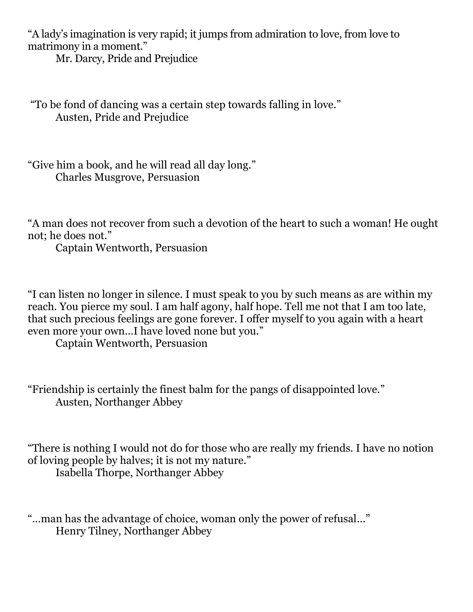"A lady's imagination is very rapid; it jumps from admiration to love, from love to matrimony in a moment."

Mr. Darcy, Pride and Prejudice

"To be fond of dancing was a certain step towards falling in love." Austen, Pride and Prejudice

"Give him a book, and he will read all day long." Charles Musgrove, [Persuasion](https://www.amazon.com/gp/product/1548568201?ie=UTF8&tag=bustlebooks-20&camp=1789&linkCode=xm2&creativeASIN=1548568201)

"A man does not recover from such a devotion of the heart to such a woman! He ought not; he does not."

Captain Wentworth, Persuasion

"I can listen no longer in silence. I must speak to you by such means as are within my reach. You pierce my soul. I am half agony, half hope. Tell me not that I am too late, that such precious feelings are gone forever. I offer myself to you again with a heart even more your own…I have loved none but you."

Captain Wentworth, Persuasion

"Friendship is certainly the finest balm for the pangs of disappointed love." Austen, Northanger Abbey

"There is nothing I would not do for those who are really my friends. I have no notion of loving people by halves; it is not my nature."

Isabella Thorpe, Northanger Abbey

"…man has the advantage of choice, woman only the power of refusal…" Henry Tilney, Northanger Abbey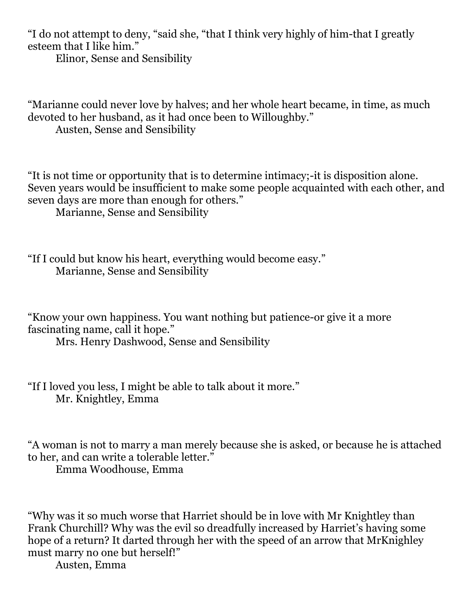"I do not attempt to deny, "said she, "that I think very highly of him-that I greatly esteem that I like him."

Elinor, Sense and Sensibility

"Marianne could never love by halves; and her whole heart became, in time, as much devoted to her husband, as it had once been to Willoughby." Austen, Sense and Sensibility

"It is not time or opportunity that is to determine intimacy;-it is disposition alone. Seven years would be insufficient to make some people acquainted with each other, and seven days are more than enough for others." Marianne, Sense and Sensibility

"If I could but know his heart, everything would become easy." Marianne, Sense and Sensibility

"Know your own happiness. You want nothing but patience-or give it a more fascinating name, call it hope."

Mrs. Henry Dashwood, Sense and Sensibility

"If I loved you less, I might be able to talk about it more." Mr. Knightley, Emma

"A woman is not to marry a man merely because she is asked, or because he is attached to her, and can write a tolerable letter."

Emma Woodhouse, Emma

"Why was it so much worse that Harriet should be in love with Mr Knightley than Frank Churchill? Why was the evil so dreadfully increased by Harriet's having some hope of a return? It darted through her with the speed of an arrow that MrKnighley must marry no one but herself!"

Austen, Emma